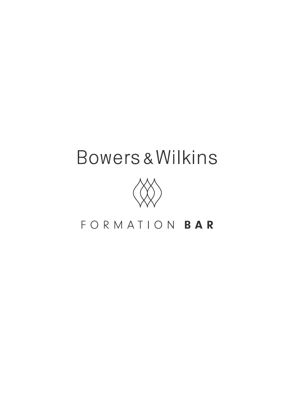# Bowers & Wilkins



# FORMATION BAR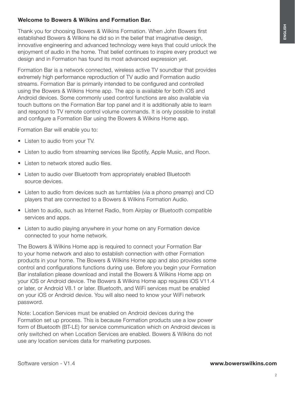Software version - V1.4

### Welcome to Bowers & Wilkins and Formation Bar.

Thank you for choosing Bowers & Wilkins Formation. When John Bowers first established Bowers & Wilkins he did so in the belief that imaginative design, innovative engineering and advanced technology were keys that could unlock the enjoyment of audio in the home. That belief continues to inspire every product we design and in Formation has found its most advanced expression yet.

Formation Bar is a network connected, wireless active TV soundbar that provides extremely high performance reproduction of TV audio and Formation audio streams. Formation Bar is primarily intended to be configured and controlled using the Bowers & Wilkins Home app. The app is available for both iOS and Android devices. Some commonly used control functions are also available via touch buttons on the Formation Bar top panel and it is additionally able to learn and respond to TV remote control volume commands. It is only possible to install and configure a Formation Bar using the Bowers & Wilkins Home app.

Formation Bar will enable you to:

- Listen to audio from your TV.
- Listen to audio from streaming services like Spotify, Apple Music, and Roon.
- Listen to network stored audio files.
- Listen to audio over Bluetooth from appropriately enabled Bluetooth source devices.
- Listen to audio from devices such as turntables (via a phono preamp) and CD players that are connected to a Bowers & Wilkins Formation Audio.
- Listen to audio, such as Internet Radio, from Airplay or Bluetooth compatible services and apps.
- Listen to audio playing anywhere in your home on any Formation device connected to your home network.

The Bowers & Wilkins Home app is required to connect your Formation Bar to your home network and also to establish connection with other Formation products in your home. The Bowers & Wilkins Home app and also provides some control and configurations functions during use. Before you begin your Formation Bar installation please download and install the Bowers & Wilkins Home app on your iOS or Android device. The Bowers & Wilkins Home app requires iOS V11.4 or later, or Android V8.1 or later. Bluetooth, and WiFi services must be enabled on your iOS or Android device. You will also need to know your WiFi network password.

Note: Location Services must be enabled on Android devices during the Formation set up process. This is because Formation products use a low power form of Bluetooth (BT-LE) for service communication which on Android devices is only switched on when Location Services are enabled. Bowers & Wilkins do not use any location services data for marketing purposes.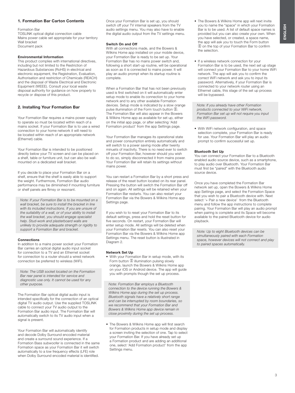#### 1. Formation Bar Carton Contents

#### Formation Bar

TOSLINK optical digital connection cable Mains power cable set appropriate for your territory Wall bracket Document pack

#### Environmental Information

This product complies with international directives, including but not limited to the Restriction of Hazardous Substances (RoHS) in electrical and electronic equipment, the Registration, Evaluation, Authorisation and restriction of Chemicals (REACH) and the disposal of Waste Electrical and Electronic Equipment (WEEE). Consult your local waste disposal authority for guidance on how properly to recycle or dispose of this product.

#### 2. Installing Your Formation Bar

Your Formation Bar requires a mains power supply to operate so must be located within reach of a mains socket. If your Formation Bar is to use a wired connection to your home network it will need to be located within reach of an appropriate network (Ethernet) cable.

Your Formation Bar is intended to be positioned directly below your TV screen and can be placed on a shelf, table or furniture unit, but can also be wallmounted on a dedicated wall bracket.

If you decide to place your Formation Bar on a shelf, ensure that the shelf is easily able to support the weight. Furthermore, Formation Bar audio performance may be diminished if mounting furniture or shelf panels are flimsy or resonant.

Note: If your Formation Bar is to be mounted on a wall bracket, be sure to install the bracket in line with its included instructions. If you are unsure of the suitability of a wall, or of your ability to install the wall bracket, you should engage specialist help. Stud-work and plasterboard walls are unlikely to provide adequate strength or rigidity to support a Formation Bar and bracket.

#### **Connections**

In addition to a mains power socket your Formation Bar carries an optical digital audio input socket for connection to a TV and an Ethernet socket for connection to a router should a wired network connection be preferred to wireless (WiFi).

Note: The USB socket located on the Formation Bar rear panel is intended for service and diagnostic use only. It cannot be used for any other purpose.

The Formation Bar optical digital audio input is intended specifically for the connection of an optical digital TV audio output. Use the supplied TOSLINK cable to connect your TV audio output to the Formation Bar audio input. The Formation Bar will automatically switch to its TV audio input when a signal is present.

Your Formation Bar will automatically identify and decode Dolby Surround encoded material and create a surround sound experience. If a Formation Bass subwoofer is connected in the same Formation space as your Formation Bar it will switch automatically to a low frequency effects (LFE) role when Dolby Surround encoded material is identified.

Once your Formation Bar is set up, you should switch off your TV internal speakers from the TV audio settings menu. You may also have to enable the digital audio output from the TV settings menu.

#### Switch On and Off

With all connections made, and the Bowers & Wilkins Home app installed on your mobile device. your Formation Bar is ready to be set up. Your Formation Bar has no mains power switch and, following a short start-up routine, will be operational as soon as it is connected to mains power. It will play an audio prompt when its startup routine is complete.

When a Formation Bar that has not been previously used is first switched on it will automatically enter setup mode to enable its connection to your home network and to any other available Formation devices. Setup mode is indicated by a slow orange pulse illumination of the Form touch button  $\overset{\mathcal{W}}{\otimes}$ The Formation Bar will also appear in the Bowers & Wilkins Home app as available for set up, either on the initial app page, or after selecting 'Add Formation product' from the app Settings page.

Your Formation Bar manages its operational state and power consumption entirely automatically and will switch to a power saving mode after twenty minuets of inactivity. There is no need ever to switch off your Formation Bar, however should you wish to do so, simply disconnected it from mains power. Your Formation Bar will retain its settings without mains power.

You can restart a Formation Bar by a short press and release of the reset button located on its rear panel. Pressing the button will switch the Formation Bar off and on again. All settings will be retained when your Formation Bar restarts. You can also restart your Formation Bar via the Bowers & Wilkins Home app Settings page.

If you wish to to reset your Formation Bar to its default settings, press and hold the reset button for five seconds. On restart, your Formation Bar will enter setup mode. All settings will be deleted when your Formation Bar resets. You can also reset your Formation Bar via the Bowers & Wilkins Home app Settings menu. The reset button is illustrated in Diagram 2.

#### Network Set Up

• With your Formation Bar in setup mode, with its Form button  $\mathcal{W}$  illumination pulsing slowly orange, launch the Bowers & Wilkins Home app on your iOS or Android device. The app will guide you with prompts though the set up process.

Note: Formation Bar employs a Bluetooth connection to the device running the Bowers & Wilkins Home app during the set up process. Bluetooth signals have a relatively short range and can be interrupted by room boundaries, so we recommend that your Formation Bar and Bowers & Wilkins Home app device remain in close proximity during the set up process.

• The Bowers & Wilkins Home app will first search for Formation products in setup mode and display a screen inviting the selection of one. Tap to select your Formation Bar. If you have already set up a Formation product and are adding an additional one, select 'Add Formation product' from the app Settings menu.

- The Bowers & Wilkins Home app will next invite you to name the "space" in which your Formation Bar is to be used. A list of default space names is provided but you can also create your own. When you have selected, or created, a space name, the app will ask you to touch the Form button  $\mathbb{\mathbb{R}}$  on the top of your Formation Bar to confirm the selection.
- If a wireless network connection for your Formation Bar is to be used, the next set up stage will connect your Formation Bar to your home WiFi network. The app will ask you to confirm the correct WiFi network and ask you to input its password. Alternatively, if your Formation Bar is connected to your network router using an Ethernet cable, this stage of the set up process will be bypassed.

Note: If you already have other Formation products connected to your WiFi network, Formation Bar set up will not require you input the WiFi password.

• With WiFi network configuration, and space selection complete, your Formation Bar is ready for use. Your Formation Bar will play an audio prompt to confirm successful set up.

#### Bluetooth Set Up

You can connect your Formation Bar to a Bluetooth enabled audio source device, such as a smartphone, to play audio over Bluetooth. Your Formation Bar must first be "paired" with the Bluetooth audio source device.

Once you have completed the Formation Bar network set up, open the Bowers & Wilkins Home app Settings page, and select the Formation Space that you wish to pair a Bluetooth device with. Next select '+ Pair a new device' from the Bluetooth menu and follow the app instructions to complete pairing. Your Formation Bar will play an audio prompt when pairing is complete and its Space will become available to the paired Bluetooth device for audio playback.

Note: Up to eight Bluetooth devices can be simultaneously paired with each Formation space, however devices will not connect and play to paired spaces automatically.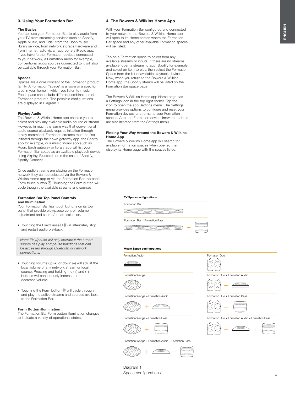#### 3. Using Your Formation Bar

#### The Basics

You can use your Formation Bar to play audio from your TV, from streaming services such as Spotify, Apple Music, and Tidal, from the Roon music library service, from network storage hardware and from internet radio via an appropriate iRadio app. If you have further Formation devices connected to your network, a Formation Audio for example, conventional audio sources connected to it will also be available through your Formation Bar.

#### Spaces

Spaces are a core concept of the Formation product family. A Formation "space" is a room or a specific area in your home in which you listen to music. Each space can include different combinations of Formation products. The possible configurations are displayed in Diagram 1.

#### Playing Audio

The Bowers & Wilkins Home app enables you to select and play any available audio source or stream. However, in much the same way that conventional audio source playback requires initiation through a play command, Formation streams must be first initiated through their own gateway app: the Spotify app for example, or a music library app such as Roon. Each gateway or library app will list your Formation Bar space as an available playback device using Airplay, Bluetooth or in the case of Spotify, Spotify Connect.

Once audio streams are playing on the Formation network they can be selected via the Bowers & Wilkins Home app or via the Formation Bar top panel Form touch button  $\mathcal{R}$ . Touching the Form button will cycle though the available streams and sources.

#### Formation Bar Top Panel Controls and Illumination

Your Formation Bar has touch buttons on its top panel that provide play/pause control, volume adjustment and source/stream selection.

• Touching the Play/Pause  $\triangleright$  II will alternately stop and restart audio playback.

Note: Play/pause will only operate if the stream source has play and pause functions that can be accessed through Bluetooth or network connections.

- Touching volume up (+) or down (–) will adjust the local volume of any network stream or local source. Pressing and holding the (+) and (–) buttons will continuously increase or decrease volume.
- Touching the Form button  $\mathbb W$  will cycle through and play the active streams and sources available to the Formation Bar.

#### Form Button illumination

The Formation Bar Form button illumination changes to indicate a variety of operational states.

#### 4. The Bowers & Wilkins Home App

With your Formation Bar configured and connected to your network, the Bowers & Wilkins Home app will open to its Home screen where the Formation Bar space and any other available Formation spaces will be listed.

Tap on a Formation space to select from any available streams or inputs. If there are no streams available, open a streaming app, Spotify for example, and select an item to play, then select the Formation Space from the list of available playback devices. Now, when you return to the Bowers & Wilkins Home app, the Spotify stream will be listed on the Formation Bar space page.

The Bowers & Wilkins Home app Home page has a Settings icon in the top right corner. Tap the icon to open the app Settings menu. The Settings menu provides options to configure and reset your Formation devices and re-name your Formation spaces. App and Formation device firmware updates are also initiated from the Settings menu.

#### Finding Your Way Around the Bowers & Wilkins Home App

The Bowers & Wilkins Home app will search for available Formation spaces when opened then display its Home page with the spaces listed.

#### **TV Space configurations**



#### **Music Space configurations**





Formation Wedge



Formation Wedge + Formation Audio



Formation Wedge + Formation Bass



Formation Wedge + Formation Audio + Formation Bass





Formation Duo + Formation Audio



Formation Duo + Formation Bass